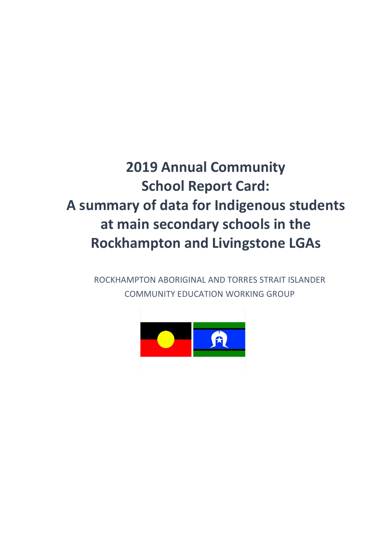## **2019 Annual Community School Report Card: A summary of data for Indigenous students at main secondary schools in the Rockhampton and Livingstone LGAs**

ROCKHAMPTON ABORIGINAL AND TORRES STRAIT ISLANDER COMMUNITY EDUCATION WORKING GROUP

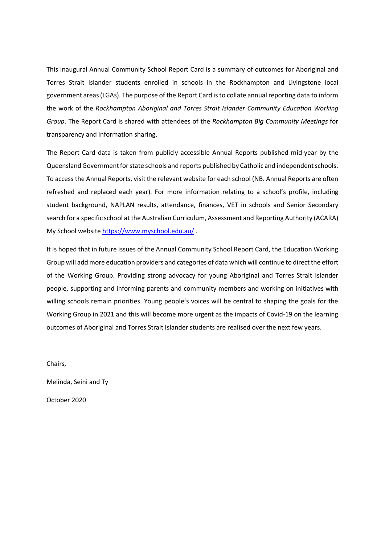This inaugural Annual Community School Report Card is a summary of outcomes for Aboriginal and Torres Strait Islander students enrolled in schools in the Rockhampton and Livingstone local government areas(LGAs). The purpose of the Report Card is to collate annual reporting data to inform the work of the *Rockhampton Aboriginal and Torres Strait Islander Community Education Working Group*. The Report Card is shared with attendees of the *Rockhampton Big Community Meetings* for transparency and information sharing.

The Report Card data is taken from publicly accessible Annual Reports published mid-year by the Queensland Government for state schools and reports published by Catholic and independent schools. To access the Annual Reports, visit the relevant website for each school (NB. Annual Reports are often refreshed and replaced each year). For more information relating to a school's profile, including student background, NAPLAN results, attendance, finances, VET in schools and Senior Secondary search for a specific school at the Australian Curriculum, Assessment and Reporting Authority (ACARA) My School website <https://www.myschool.edu.au/>.

It is hoped that in future issues of the Annual Community School Report Card, the Education Working Group will add more education providers and categories of data which will continue to direct the effort of the Working Group. Providing strong advocacy for young Aboriginal and Torres Strait Islander people, supporting and informing parents and community members and working on initiatives with willing schools remain priorities. Young people's voices will be central to shaping the goals for the Working Group in 2021 and this will become more urgent as the impacts of Covid-19 on the learning outcomes of Aboriginal and Torres Strait Islander students are realised over the next few years.

Chairs,

Melinda, Seini and Ty

October 2020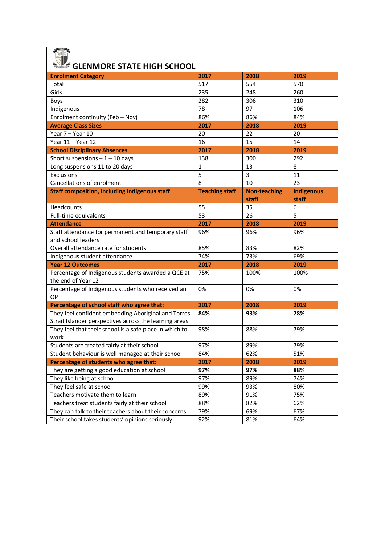| <b>GLENMORE STATE HIGH SCHOOL</b>                                                                             |                       |                     |                   |
|---------------------------------------------------------------------------------------------------------------|-----------------------|---------------------|-------------------|
| <b>Enrolment Category</b>                                                                                     | 2017                  | 2018                | 2019              |
| Total                                                                                                         | 517                   | 554                 | 570               |
| Girls                                                                                                         | 235                   | 248                 | 260               |
| Boys                                                                                                          | 282                   | 306                 | 310               |
| Indigenous                                                                                                    | 78                    | 97                  | 106               |
| Enrolment continuity (Feb - Nov)                                                                              | 86%                   | 86%                 | 84%               |
| <b>Average Class Sizes</b>                                                                                    | 2017                  | 2018                | 2019              |
| Year 7 - Year 10                                                                                              | 20                    | 22                  | 20                |
| Year 11 - Year 12                                                                                             | 16                    | 15                  | 14                |
| <b>School Disciplinary Absences</b>                                                                           | 2017                  | 2018                | 2019              |
| Short suspensions $-1 - 10$ days                                                                              | 138                   | 300                 | 292               |
| Long suspensions 11 to 20 days                                                                                | 1                     | 13                  | 8                 |
| Exclusions                                                                                                    | 5                     | 3                   | 11                |
| Cancellations of enrolment                                                                                    | 8                     | 10                  | 23                |
| <b>Staff composition, including Indigenous staff</b>                                                          | <b>Teaching staff</b> | <b>Non-teaching</b> | <b>Indigenous</b> |
|                                                                                                               |                       | staff               | staff             |
| Headcounts                                                                                                    | 55                    | 35                  | 6                 |
| Full-time equivalents                                                                                         | 53                    | 26                  | 5                 |
| <b>Attendance</b>                                                                                             | 2017                  | 2018                | 2019              |
| Staff attendance for permanent and temporary staff                                                            | 96%                   | 96%                 | 96%               |
| and school leaders                                                                                            |                       |                     |                   |
| Overall attendance rate for students                                                                          | 85%                   | 83%                 | 82%               |
| Indigenous student attendance                                                                                 | 74%                   | 73%                 | 69%               |
| <b>Year 12 Outcomes</b>                                                                                       | 2017                  | 2018                | 2019              |
| Percentage of Indigenous students awarded a QCE at<br>the end of Year 12                                      | 75%                   | 100%                | 100%              |
| Percentage of Indigenous students who received an<br>OP                                                       | 0%                    | 0%                  | 0%                |
| Percentage of school staff who agree that:                                                                    | 2017                  | 2018                | 2019              |
| They feel confident embedding Aboriginal and Torres<br>Strait Islander perspectives across the learning areas | 84%                   | 93%                 | 78%               |
| They feel that their school is a safe place in which to<br>work                                               | 98%                   | 88%                 | 79%               |
| Students are treated fairly at their school                                                                   | 97%                   | 89%                 | 79%               |
| Student behaviour is well managed at their school                                                             | 84%                   | 62%                 | 51%               |
| Percentage of students who agree that:                                                                        | 2017                  | 2018                | 2019              |
| They are getting a good education at school                                                                   | 97%                   | 97%                 | 88%               |
| They like being at school                                                                                     | 97%                   | 89%                 | 74%               |
| They feel safe at school                                                                                      | 99%                   | 93%                 | 80%               |
| Teachers motivate them to learn                                                                               | 89%                   | 91%                 | 75%               |
| Teachers treat students fairly at their school                                                                | 88%                   | 82%                 | 62%               |
| They can talk to their teachers about their concerns                                                          | 79%                   | 69%                 | 67%               |
| Their school takes students' opinions seriously                                                               | 92%                   | 81%                 | 64%               |
|                                                                                                               |                       |                     |                   |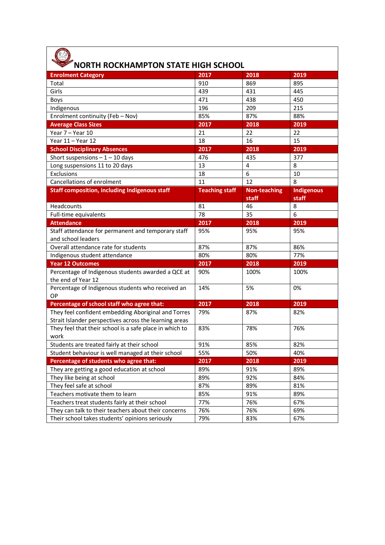| <b>NORTH ROCKHAMPTON STATE HIGH SCHOOL</b>                                                                    |                       |                     |                   |
|---------------------------------------------------------------------------------------------------------------|-----------------------|---------------------|-------------------|
| <b>Enrolment Category</b>                                                                                     | 2017                  | 2018                | 2019              |
| Total                                                                                                         | 910                   | 869                 | 895               |
| Girls                                                                                                         | 439                   | 431                 | 445               |
| Boys                                                                                                          | 471                   | 438                 | 450               |
| Indigenous                                                                                                    | 196                   | 209                 | 215               |
| Enrolment continuity (Feb - Nov)                                                                              | 85%                   | 87%                 | 88%               |
| <b>Average Class Sizes</b>                                                                                    | 2017                  | 2018                | 2019              |
| Year 7 - Year 10                                                                                              | 21                    | 22                  | 22                |
| Year 11 - Year 12                                                                                             | 18                    | 16                  | 15                |
| <b>School Disciplinary Absences</b>                                                                           | 2017                  | 2018                | 2019              |
| Short suspensions $-1 - 10$ days                                                                              | 476                   | 435                 | 377               |
| Long suspensions 11 to 20 days                                                                                | 13                    | 4                   | 8                 |
| Exclusions                                                                                                    | 18                    | 6                   | 10                |
| Cancellations of enrolment                                                                                    | 11                    | 12                  | 8                 |
| <b>Staff composition, including Indigenous staff</b>                                                          | <b>Teaching staff</b> | <b>Non-teaching</b> | <b>Indigenous</b> |
|                                                                                                               |                       | staff               | staff             |
| Headcounts                                                                                                    | 81                    | 46                  | 8                 |
| Full-time equivalents                                                                                         | 78                    | 35                  | 6                 |
| <b>Attendance</b>                                                                                             | 2017                  | 2018                | 2019              |
| Staff attendance for permanent and temporary staff                                                            | 95%                   | 95%                 | 95%               |
| and school leaders                                                                                            |                       |                     |                   |
| Overall attendance rate for students                                                                          | 87%                   | 87%                 | 86%               |
| Indigenous student attendance                                                                                 | 80%                   | 80%                 | 77%               |
| <b>Year 12 Outcomes</b>                                                                                       | 2017                  | 2018                | 2019              |
| Percentage of Indigenous students awarded a QCE at<br>the end of Year 12                                      | 90%                   | 100%                | 100%              |
| Percentage of Indigenous students who received an<br>OP                                                       | 14%                   | 5%                  | 0%                |
| Percentage of school staff who agree that:                                                                    | 2017                  | 2018                | 2019              |
| They feel confident embedding Aboriginal and Torres<br>Strait Islander perspectives across the learning areas | 79%                   | 87%                 | 82%               |
| They feel that their school is a safe place in which to<br>work                                               | 83%                   | 78%                 | 76%               |
| Students are treated fairly at their school                                                                   | 91%                   | 85%                 | 82%               |
| Student behaviour is well managed at their school                                                             | 55%                   | 50%                 | 40%               |
| Percentage of students who agree that:                                                                        | 2017                  | 2018                | 2019              |
| They are getting a good education at school                                                                   | 89%                   | 91%                 | 89%               |
| They like being at school                                                                                     | 89%                   | 92%                 | 84%               |
| They feel safe at school                                                                                      | 87%                   | 89%                 | 81%               |
| Teachers motivate them to learn                                                                               | 85%                   | 91%                 | 89%               |
| Teachers treat students fairly at their school                                                                | 77%                   | 76%                 | 67%               |
| They can talk to their teachers about their concerns                                                          | 76%                   | 76%                 | 69%               |
| Their school takes students' opinions seriously                                                               | 79%                   | 83%                 | 67%               |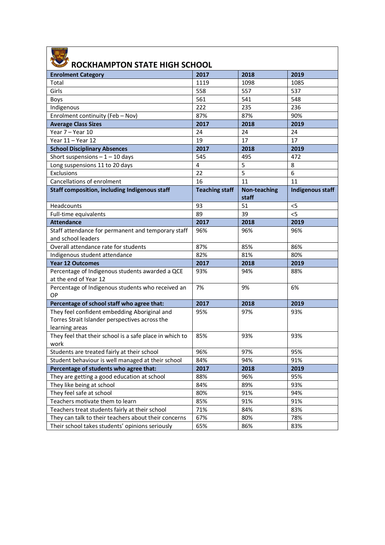| ROCKHAMPTON STATE HIGH SCHOOL                                                                                    |                         |                              |                         |
|------------------------------------------------------------------------------------------------------------------|-------------------------|------------------------------|-------------------------|
| <b>Enrolment Category</b>                                                                                        | 2017                    | 2018                         | 2019                    |
| Total                                                                                                            | 1119                    | 1098                         | 1085                    |
| Girls                                                                                                            | 558                     | 557                          | 537                     |
| Boys                                                                                                             | 561                     | 541                          | 548                     |
| Indigenous                                                                                                       | 222                     | 235                          | 236                     |
| Enrolment continuity (Feb - Nov)                                                                                 | 87%                     | 87%                          | 90%                     |
| <b>Average Class Sizes</b>                                                                                       | 2017                    | 2018                         | 2019                    |
| Year 7 - Year 10                                                                                                 | 24                      | 24                           | 24                      |
| Year 11 - Year 12                                                                                                | 19                      | 17                           | 17                      |
| <b>School Disciplinary Absences</b>                                                                              | 2017                    | 2018                         | 2019                    |
| Short suspensions $-1 - 10$ days                                                                                 | 545                     | 495                          | 472                     |
| Long suspensions 11 to 20 days                                                                                   | $\overline{\mathbf{4}}$ | 5                            | 8                       |
| Exclusions                                                                                                       | 22                      | 5                            | 6                       |
| Cancellations of enrolment                                                                                       | 16                      | 11                           | 11                      |
| <b>Staff composition, including Indigenous staff</b>                                                             | <b>Teaching staff</b>   | <b>Non-teaching</b><br>staff | <b>Indigenous staff</b> |
| Headcounts                                                                                                       | 93                      | 51                           | < 5                     |
| Full-time equivalents                                                                                            | 89                      | 39                           | $<$ 5                   |
| <b>Attendance</b>                                                                                                | 2017                    | 2018                         | 2019                    |
| Staff attendance for permanent and temporary staff<br>and school leaders                                         | 96%                     | 96%                          | 96%                     |
| Overall attendance rate for students                                                                             | 87%                     | 85%                          | 86%                     |
| Indigenous student attendance                                                                                    | 82%                     | 81%                          | 80%                     |
| <b>Year 12 Outcomes</b>                                                                                          | 2017                    | 2018                         | 2019                    |
| Percentage of Indigenous students awarded a QCE<br>at the end of Year 12                                         | 93%                     | 94%                          | 88%                     |
| Percentage of Indigenous students who received an<br>OP                                                          | 7%                      | 9%                           | 6%                      |
| Percentage of school staff who agree that:                                                                       | 2017                    | 2018                         | 2019                    |
| They feel confident embedding Aboriginal and<br>Torres Strait Islander perspectives across the<br>learning areas | 95%                     | 97%                          | 93%                     |
| They feel that their school is a safe place in which to<br>work                                                  | 85%                     | 93%                          | 93%                     |
| Students are treated fairly at their school                                                                      | 96%                     | 97%                          | 95%                     |
| Student behaviour is well managed at their school                                                                | 84%                     | 94%                          | 91%                     |
| Percentage of students who agree that:                                                                           | 2017                    | 2018                         | 2019                    |
| They are getting a good education at school                                                                      | 88%                     | 96%                          | 95%                     |
| They like being at school                                                                                        | 84%                     | 89%                          | 93%                     |
| They feel safe at school                                                                                         | 80%                     | 91%                          | 94%                     |
| Teachers motivate them to learn                                                                                  | 85%                     | 91%                          | 91%                     |
| Teachers treat students fairly at their school                                                                   | 71%                     | 84%                          | 83%                     |
| They can talk to their teachers about their concerns                                                             | 67%                     | 80%                          | 78%                     |
| Their school takes students' opinions seriously                                                                  | 65%                     | 86%                          | 83%                     |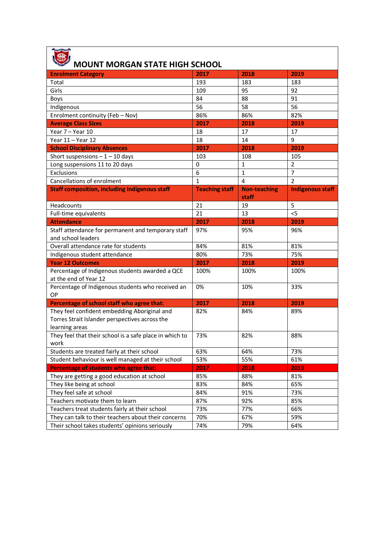| <b>MOUNT MORGAN STATE HIGH SCHOOL</b>                                                                            |                       |                              |                         |
|------------------------------------------------------------------------------------------------------------------|-----------------------|------------------------------|-------------------------|
| <b>Enrolment Category</b>                                                                                        | 2017                  | 2018                         | 2019                    |
| Total                                                                                                            | 193                   | 183                          | 183                     |
| Girls                                                                                                            | 109                   | 95                           | 92                      |
| Boys                                                                                                             | 84                    | 88                           | 91                      |
| Indigenous                                                                                                       | 56                    | 58                           | 56                      |
| Enrolment continuity (Feb - Nov)                                                                                 | 86%                   | 86%                          | 82%                     |
| <b>Average Class Sizes</b>                                                                                       | 2017                  | 2018                         | 2019                    |
| Year 7 - Year 10                                                                                                 | 18                    | 17                           | 17                      |
| Year 11 - Year 12                                                                                                | 18                    | 14                           | 9                       |
| <b>School Disciplinary Absences</b>                                                                              | 2017                  | 2018                         | 2019                    |
| Short suspensions $-1 - 10$ days                                                                                 | 103                   | 108                          | 105                     |
| Long suspensions 11 to 20 days                                                                                   | 0                     | 1                            | $\overline{2}$          |
| Exclusions                                                                                                       | 6                     | $\mathbf{1}$                 | $\overline{7}$          |
| Cancellations of enrolment                                                                                       | $\mathbf{1}$          | $\overline{4}$               | $\overline{2}$          |
| <b>Staff composition, including Indigenous staff</b>                                                             | <b>Teaching staff</b> | <b>Non-teaching</b><br>staff | <b>Indigenous staff</b> |
| Headcounts                                                                                                       | 21                    | 19                           | 5                       |
| Full-time equivalents                                                                                            | 21                    | 13                           | $<$ 5                   |
| <b>Attendance</b>                                                                                                | 2017                  | 2018                         | 2019                    |
| Staff attendance for permanent and temporary staff                                                               | 97%                   | 95%                          | 96%                     |
| and school leaders                                                                                               |                       |                              |                         |
| Overall attendance rate for students                                                                             | 84%                   | 81%                          | 81%                     |
| Indigenous student attendance                                                                                    | 80%                   | 73%                          | 75%                     |
| <b>Year 12 Outcomes</b>                                                                                          | 2017                  | 2018                         | 2019                    |
| Percentage of Indigenous students awarded a QCE<br>at the end of Year 12                                         | 100%                  | 100%                         | 100%                    |
| Percentage of Indigenous students who received an<br>OP                                                          | 0%                    | 10%                          | 33%                     |
| Percentage of school staff who agree that:                                                                       | 2017                  | 2018                         | 2019                    |
| They feel confident embedding Aboriginal and<br>Torres Strait Islander perspectives across the<br>learning areas | 82%                   | 84%                          | 89%                     |
| They feel that their school is a safe place in which to<br>work                                                  | 73%                   | 82%                          | 88%                     |
| Students are treated fairly at their school                                                                      | 63%                   | 64%                          | 73%                     |
| Student behaviour is well managed at their school                                                                | 53%                   | 55%                          | 61%                     |
| Percentage of students who agree that:                                                                           | 2017                  | 2018                         | 2019                    |
| They are getting a good education at school                                                                      | 85%                   | 88%                          | 81%                     |
| They like being at school                                                                                        | 83%                   | 84%                          | 65%                     |
| They feel safe at school                                                                                         | 84%                   | 91%                          | 73%                     |
| Teachers motivate them to learn                                                                                  | 87%                   | 92%                          | 85%                     |
| Teachers treat students fairly at their school                                                                   | 73%                   | 77%                          | 66%                     |
| They can talk to their teachers about their concerns                                                             | 70%                   | 67%                          | 59%                     |
| Their school takes students' opinions seriously                                                                  | 74%                   | 79%                          | 64%                     |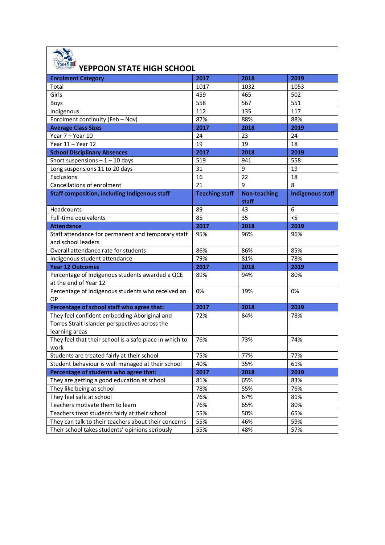## **YEPPOON STATE HIGH SCHOOL**

| <b>Enrolment Category</b>                               | 2017                  | 2018                | 2019                    |
|---------------------------------------------------------|-----------------------|---------------------|-------------------------|
| Total                                                   | 1017                  | 1032                | 1053                    |
| Girls                                                   | 459                   | 465                 | 502                     |
| Boys                                                    | 558                   | 567                 | 551                     |
| Indigenous                                              | 112                   | 135                 | 117                     |
| Enrolment continuity (Feb - Nov)                        | 87%                   | 88%                 | 88%                     |
| <b>Average Class Sizes</b>                              | 2017                  | 2018                | 2019                    |
| Year 7 - Year 10                                        | 24                    | 23                  | 24                      |
| Year 11 - Year 12                                       | 19                    | 19                  | 18                      |
| <b>School Disciplinary Absences</b>                     | 2017                  | 2018                | 2019                    |
| Short suspensions $-1 - 10$ days                        | 519                   | 941                 | 558                     |
| Long suspensions 11 to 20 days                          | 31                    | 9                   | 19                      |
| Exclusions                                              | 16                    | 22                  | 18                      |
| Cancellations of enrolment                              | 21                    | 9                   | 8                       |
| <b>Staff composition, including Indigenous staff</b>    | <b>Teaching staff</b> | <b>Non-teaching</b> | <b>Indigenous staff</b> |
|                                                         |                       | staff               |                         |
| Headcounts                                              | 89                    | 43                  | 6                       |
| Full-time equivalents                                   | 85                    | 35                  | $<$ 5                   |
| <b>Attendance</b>                                       | 2017                  | 2018                | 2019                    |
| Staff attendance for permanent and temporary staff      | 95%                   | 96%                 | 96%                     |
| and school leaders                                      |                       |                     |                         |
| Overall attendance rate for students                    | 86%                   | 86%                 | 85%                     |
| Indigenous student attendance                           | 79%                   | 81%                 | 78%                     |
| <b>Year 12 Outcomes</b>                                 | 2017                  | 2018                | 2019                    |
| Percentage of Indigenous students awarded a QCE         | 89%                   | 94%                 | 80%                     |
| at the end of Year 12                                   |                       |                     |                         |
| Percentage of Indigenous students who received an       | 0%                    | 19%                 | 0%                      |
| OP                                                      |                       |                     |                         |
| Percentage of school staff who agree that:              | 2017                  | 2018                | 2019                    |
| They feel confident embedding Aboriginal and            | 72%                   | 84%                 | 78%                     |
| Torres Strait Islander perspectives across the          |                       |                     |                         |
| learning areas                                          |                       |                     |                         |
| They feel that their school is a safe place in which to | 76%                   | 73%                 | 74%                     |
| work                                                    |                       |                     |                         |
| Students are treated fairly at their school             | 75%                   | 77%                 | 77%                     |
| Student behaviour is well managed at their school       | 40%                   | 35%                 | 61%                     |
| Percentage of students who agree that:                  | 2017                  | 2018                | 2019                    |
| They are getting a good education at school             | 81%                   | 65%                 | 83%                     |
| They like being at school                               | 78%                   | 55%                 | 76%                     |
| They feel safe at school                                | 76%                   | 67%                 | 81%                     |
| Teachers motivate them to learn                         | 76%                   | 65%                 | 80%                     |
| Teachers treat students fairly at their school          | 55%                   | 50%                 | 65%                     |
| They can talk to their teachers about their concerns    | 55%                   | 46%                 | 59%                     |
| Their school takes students' opinions seriously         | 55%                   | 48%                 | 57%                     |
|                                                         |                       |                     |                         |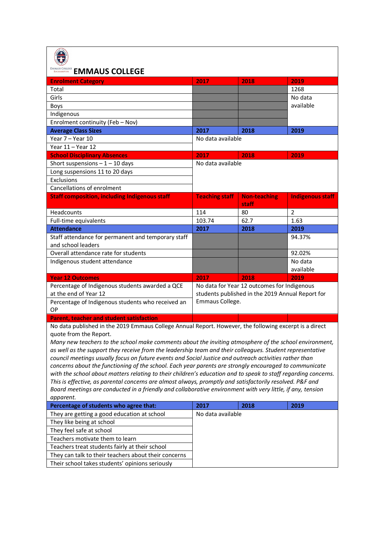| <b>EMMAUS COLLEGE</b>                                                                                                            |                       |                                                  |                         |
|----------------------------------------------------------------------------------------------------------------------------------|-----------------------|--------------------------------------------------|-------------------------|
| <b>Enrolment Category</b>                                                                                                        | 2017                  | 2018                                             | 2019                    |
| Total                                                                                                                            |                       |                                                  | 1268                    |
| Girls                                                                                                                            |                       |                                                  | No data                 |
| Boys                                                                                                                             |                       |                                                  | available               |
| Indigenous                                                                                                                       |                       |                                                  |                         |
| Enrolment continuity (Feb - Nov)                                                                                                 |                       |                                                  |                         |
| <b>Average Class Sizes</b>                                                                                                       | 2017                  | 2018                                             | 2019                    |
| Year 7 - Year 10                                                                                                                 | No data available     |                                                  |                         |
| Year 11 - Year 12                                                                                                                |                       |                                                  |                         |
| <b>School Disciplinary Absences</b>                                                                                              | 2017                  | 2018                                             | 2019                    |
| Short suspensions $-1 - 10$ days                                                                                                 | No data available     |                                                  |                         |
| Long suspensions 11 to 20 days                                                                                                   |                       |                                                  |                         |
| Exclusions                                                                                                                       |                       |                                                  |                         |
| Cancellations of enrolment                                                                                                       |                       |                                                  |                         |
| <b>Staff composition, including Indigenous staff</b>                                                                             | <b>Teaching staff</b> | <b>Non-teaching</b>                              | <b>Indigenous staff</b> |
|                                                                                                                                  |                       | staff                                            |                         |
| Headcounts                                                                                                                       | 114                   | 80                                               | $\overline{2}$          |
| Full-time equivalents                                                                                                            | 103.74                | 62.7                                             | 1.63                    |
| <b>Attendance</b>                                                                                                                | 2017                  | 2018                                             | 2019                    |
| Staff attendance for permanent and temporary staff                                                                               |                       |                                                  | 94.37%                  |
| and school leaders                                                                                                               |                       |                                                  |                         |
| Overall attendance rate for students                                                                                             |                       |                                                  | 92.02%                  |
| Indigenous student attendance                                                                                                    |                       |                                                  | No data                 |
|                                                                                                                                  |                       |                                                  | available               |
| <b>Year 12 Outcomes</b>                                                                                                          | 2017                  | 2018                                             | 2019                    |
| Percentage of Indigenous students awarded a QCE                                                                                  |                       | No data for Year 12 outcomes for Indigenous      |                         |
| at the end of Year 12                                                                                                            |                       | students published in the 2019 Annual Report for |                         |
| Percentage of Indigenous students who received an                                                                                | Emmaus College.       |                                                  |                         |
| OP                                                                                                                               |                       |                                                  |                         |
| <b>Parent, teacher and student satisfaction</b>                                                                                  |                       |                                                  |                         |
| No data published in the 2019 Emmaus College Annual Report. However, the following excerpt is a direct<br>quote from the Report. |                       |                                                  |                         |
| Many new teachers to the school make comments about the inviting atmosphere of the school environment,                           |                       |                                                  |                         |
| as well as the support they receive from the leadership team and their colleagues. Student representative                        |                       |                                                  |                         |
| council meetings usually focus on future events and Social Justice and outreach activities rather than                           |                       |                                                  |                         |
| concerns about the functioning of the school. Each year parents are strongly encouraged to communicate                           |                       |                                                  |                         |
| with the school about matters relating to their children's education and to speak to staff regarding concerns.                   |                       |                                                  |                         |
| This is effective, as parental concerns are almost always, promptly and satisfactorily resolved. P&F and                         |                       |                                                  |                         |
| Board meetings are conducted in a friendly and collaborative environment with very little, if any, tension                       |                       |                                                  |                         |
| apparent.                                                                                                                        |                       |                                                  |                         |
|                                                                                                                                  |                       |                                                  |                         |
| Percentage of students who agree that:                                                                                           | 2017                  | 2018                                             | 2019                    |
| They are getting a good education at school                                                                                      | No data available     |                                                  |                         |
| They like being at school                                                                                                        |                       |                                                  |                         |
| They feel safe at school                                                                                                         |                       |                                                  |                         |
| Teachers motivate them to learn                                                                                                  |                       |                                                  |                         |
| Teachers treat students fairly at their school                                                                                   |                       |                                                  |                         |
| They can talk to their teachers about their concerns                                                                             |                       |                                                  |                         |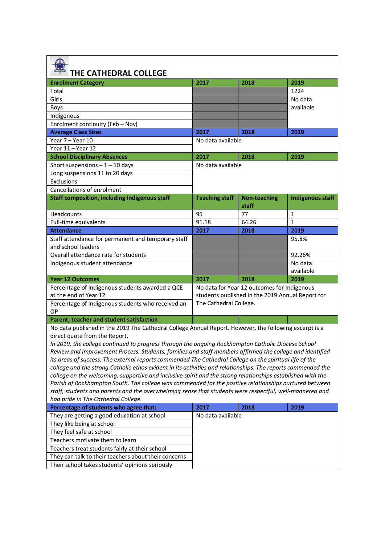| THE CATHEDRAL COLLEGE                                                                                                                                                                                                                                                                                                                                                                                                                                                                                                                                                                                                                                                                                                                                                                                                                                                                                                                                           |                                                  |                                             |                         |
|-----------------------------------------------------------------------------------------------------------------------------------------------------------------------------------------------------------------------------------------------------------------------------------------------------------------------------------------------------------------------------------------------------------------------------------------------------------------------------------------------------------------------------------------------------------------------------------------------------------------------------------------------------------------------------------------------------------------------------------------------------------------------------------------------------------------------------------------------------------------------------------------------------------------------------------------------------------------|--------------------------------------------------|---------------------------------------------|-------------------------|
| <b>Enrolment Category</b>                                                                                                                                                                                                                                                                                                                                                                                                                                                                                                                                                                                                                                                                                                                                                                                                                                                                                                                                       | 2017                                             | 2018                                        | 2019                    |
| Total                                                                                                                                                                                                                                                                                                                                                                                                                                                                                                                                                                                                                                                                                                                                                                                                                                                                                                                                                           |                                                  |                                             | 1224                    |
| Girls                                                                                                                                                                                                                                                                                                                                                                                                                                                                                                                                                                                                                                                                                                                                                                                                                                                                                                                                                           |                                                  |                                             | No data                 |
| Boys                                                                                                                                                                                                                                                                                                                                                                                                                                                                                                                                                                                                                                                                                                                                                                                                                                                                                                                                                            |                                                  |                                             | available               |
| Indigenous                                                                                                                                                                                                                                                                                                                                                                                                                                                                                                                                                                                                                                                                                                                                                                                                                                                                                                                                                      |                                                  |                                             |                         |
| Enrolment continuity (Feb - Nov)                                                                                                                                                                                                                                                                                                                                                                                                                                                                                                                                                                                                                                                                                                                                                                                                                                                                                                                                |                                                  |                                             |                         |
| <b>Average Class Sizes</b>                                                                                                                                                                                                                                                                                                                                                                                                                                                                                                                                                                                                                                                                                                                                                                                                                                                                                                                                      | 2017                                             | 2018                                        | 2019                    |
| Year 7 - Year 10                                                                                                                                                                                                                                                                                                                                                                                                                                                                                                                                                                                                                                                                                                                                                                                                                                                                                                                                                | No data available                                |                                             |                         |
| Year 11 - Year 12                                                                                                                                                                                                                                                                                                                                                                                                                                                                                                                                                                                                                                                                                                                                                                                                                                                                                                                                               |                                                  |                                             |                         |
| <b>School Disciplinary Absences</b>                                                                                                                                                                                                                                                                                                                                                                                                                                                                                                                                                                                                                                                                                                                                                                                                                                                                                                                             | 2017                                             | 2018                                        | 2019                    |
| Short suspensions $-1 - 10$ days                                                                                                                                                                                                                                                                                                                                                                                                                                                                                                                                                                                                                                                                                                                                                                                                                                                                                                                                | No data available                                |                                             |                         |
| Long suspensions 11 to 20 days                                                                                                                                                                                                                                                                                                                                                                                                                                                                                                                                                                                                                                                                                                                                                                                                                                                                                                                                  |                                                  |                                             |                         |
| Exclusions                                                                                                                                                                                                                                                                                                                                                                                                                                                                                                                                                                                                                                                                                                                                                                                                                                                                                                                                                      |                                                  |                                             |                         |
| Cancellations of enrolment                                                                                                                                                                                                                                                                                                                                                                                                                                                                                                                                                                                                                                                                                                                                                                                                                                                                                                                                      |                                                  |                                             |                         |
| <b>Staff composition, including Indigenous staff</b>                                                                                                                                                                                                                                                                                                                                                                                                                                                                                                                                                                                                                                                                                                                                                                                                                                                                                                            | <b>Teaching staff</b>                            | <b>Non-teaching</b><br>staff                | <b>Indigenous staff</b> |
| <b>Headcounts</b>                                                                                                                                                                                                                                                                                                                                                                                                                                                                                                                                                                                                                                                                                                                                                                                                                                                                                                                                               | 95                                               | 77                                          | 1                       |
| Full-time equivalents                                                                                                                                                                                                                                                                                                                                                                                                                                                                                                                                                                                                                                                                                                                                                                                                                                                                                                                                           | 91.18                                            | 64.26                                       | $\mathbf{1}$            |
| <b>Attendance</b>                                                                                                                                                                                                                                                                                                                                                                                                                                                                                                                                                                                                                                                                                                                                                                                                                                                                                                                                               | 2017                                             | 2018                                        | 2019                    |
| Staff attendance for permanent and temporary staff<br>and school leaders                                                                                                                                                                                                                                                                                                                                                                                                                                                                                                                                                                                                                                                                                                                                                                                                                                                                                        |                                                  |                                             | 95.8%                   |
| Overall attendance rate for students                                                                                                                                                                                                                                                                                                                                                                                                                                                                                                                                                                                                                                                                                                                                                                                                                                                                                                                            |                                                  |                                             | 92.26%                  |
| Indigenous student attendance                                                                                                                                                                                                                                                                                                                                                                                                                                                                                                                                                                                                                                                                                                                                                                                                                                                                                                                                   |                                                  |                                             | No data                 |
|                                                                                                                                                                                                                                                                                                                                                                                                                                                                                                                                                                                                                                                                                                                                                                                                                                                                                                                                                                 |                                                  |                                             | available               |
| <b>Year 12 Outcomes</b>                                                                                                                                                                                                                                                                                                                                                                                                                                                                                                                                                                                                                                                                                                                                                                                                                                                                                                                                         | 2017                                             | 2018                                        | 2019                    |
| Percentage of Indigenous students awarded a QCE                                                                                                                                                                                                                                                                                                                                                                                                                                                                                                                                                                                                                                                                                                                                                                                                                                                                                                                 |                                                  | No data for Year 12 outcomes for Indigenous |                         |
| at the end of Year 12                                                                                                                                                                                                                                                                                                                                                                                                                                                                                                                                                                                                                                                                                                                                                                                                                                                                                                                                           | students published in the 2019 Annual Report for |                                             |                         |
| Percentage of Indigenous students who received an<br>OP                                                                                                                                                                                                                                                                                                                                                                                                                                                                                                                                                                                                                                                                                                                                                                                                                                                                                                         | The Cathedral College.                           |                                             |                         |
| Parent, teacher and student satisfaction                                                                                                                                                                                                                                                                                                                                                                                                                                                                                                                                                                                                                                                                                                                                                                                                                                                                                                                        |                                                  |                                             |                         |
| No data published in the 2019 The Cathedral College Annual Report. However, the following excerpt is a<br>direct quote from the Report.<br>In 2019, the college continued to progress through the ongoing Rockhampton Catholic Diocese School<br>Review and Improvement Process. Students, families and staff members affirmed the college and identified<br>its areas of success. The external reports commended The Cathedral College on the spiritual life of the<br>college and the strong Catholic ethos evident in its activities and relationships. The reports commended the<br>college on the welcoming, supportive and inclusive spirit and the strong relationships established with the<br>Parish of Rockhampton South. The college was commended for the positive relationships nurtured between<br>staff, students and parents and the overwhelming sense that students were respectful, well-mannered and<br>had pride in The Cathedral College. |                                                  |                                             |                         |
| Percentage of students who agree that:                                                                                                                                                                                                                                                                                                                                                                                                                                                                                                                                                                                                                                                                                                                                                                                                                                                                                                                          | 2017                                             | 2018                                        | 2019                    |
| They are getting a good education at school                                                                                                                                                                                                                                                                                                                                                                                                                                                                                                                                                                                                                                                                                                                                                                                                                                                                                                                     | No data available                                |                                             |                         |
| They like being at school                                                                                                                                                                                                                                                                                                                                                                                                                                                                                                                                                                                                                                                                                                                                                                                                                                                                                                                                       |                                                  |                                             |                         |
| They feel safe at school                                                                                                                                                                                                                                                                                                                                                                                                                                                                                                                                                                                                                                                                                                                                                                                                                                                                                                                                        |                                                  |                                             |                         |
| Teachers motivate them to learn                                                                                                                                                                                                                                                                                                                                                                                                                                                                                                                                                                                                                                                                                                                                                                                                                                                                                                                                 |                                                  |                                             |                         |
| Teachers treat students fairly at their school                                                                                                                                                                                                                                                                                                                                                                                                                                                                                                                                                                                                                                                                                                                                                                                                                                                                                                                  |                                                  |                                             |                         |
| They can talk to their teachers about their concerns                                                                                                                                                                                                                                                                                                                                                                                                                                                                                                                                                                                                                                                                                                                                                                                                                                                                                                            |                                                  |                                             |                         |
| Their school takes students' opinions seriously                                                                                                                                                                                                                                                                                                                                                                                                                                                                                                                                                                                                                                                                                                                                                                                                                                                                                                                 |                                                  |                                             |                         |